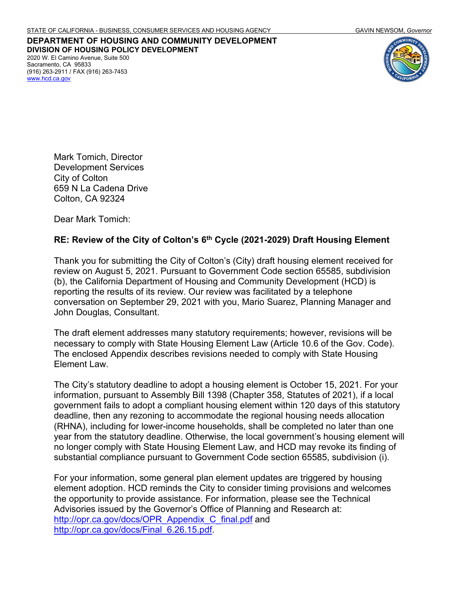**DEPARTMENT OF HOUSING AND COMMUNITY DEVELOPMENT DIVISION OF HOUSING POLICY DEVELOPMENT** 2020 W. El Camino Avenue, Suite 500 Sacramento, CA 95833 (916) 263-2911 / FAX (916) 263-7453 [www.hcd.ca.gov](http://www.hcd.ca.gov/)



Mark Tomich, Director Development Services City of Colton 659 N La Cadena Drive Colton, CA 92324

Dear Mark Tomich:

#### **RE: Review of the City of Colton's 6th Cycle (2021-2029) Draft Housing Element**

Thank you for submitting the City of Colton's (City) draft housing element received for review on August 5, 2021. Pursuant to Government Code section 65585, subdivision (b), the California Department of Housing and Community Development (HCD) is reporting the results of its review. Our review was facilitated by a telephone conversation on September 29, 2021 with you, Mario Suarez, Planning Manager and John Douglas, Consultant.

The draft element addresses many statutory requirements; however, revisions will be necessary to comply with State Housing Element Law (Article 10.6 of the Gov. Code). The enclosed Appendix describes revisions needed to comply with State Housing Element Law.

The City's statutory deadline to adopt a housing element is October 15, 2021. For your information, pursuant to Assembly Bill 1398 (Chapter 358, Statutes of 2021), if a local government fails to adopt a compliant housing element within 120 days of this statutory deadline, then any rezoning to accommodate the regional housing needs allocation (RHNA), including for lower-income households, shall be completed no later than one year from the statutory deadline. Otherwise, the local government's housing element will no longer comply with State Housing Element Law, and HCD may revoke its finding of substantial compliance pursuant to Government Code section 65585, subdivision (i).

For your information, some general plan element updates are triggered by housing element adoption. HCD reminds the City to consider timing provisions and welcomes the opportunity to provide assistance. For information, please see the Technical Advisories issued by the Governor's Office of Planning and Research at: [http://opr.ca.gov/docs/OPR\\_Appendix\\_C\\_final.pdf](http://opr.ca.gov/docs/OPR_Appendix_C_final.pdf) and [http://opr.ca.gov/docs/Final\\_6.26.15.pdf.](http://opr.ca.gov/docs/Final_6.26.15.pdf)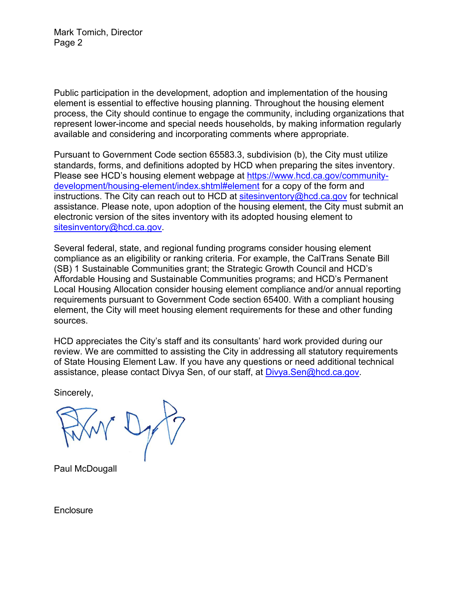Mark Tomich, Director Page 2

Public participation in the development, adoption and implementation of the housing element is essential to effective housing planning. Throughout the housing element process, the City should continue to engage the community, including organizations that represent lower-income and special needs households, by making information regularly available and considering and incorporating comments where appropriate.

Pursuant to Government Code section 65583.3, subdivision (b), the City must utilize standards, forms, and definitions adopted by HCD when preparing the sites inventory. Please see HCD's housing element webpage at [https://www.hcd.ca.gov/community](https://www.hcd.ca.gov/community-development/housing-element/index.shtml#element)[development/housing-element/index.shtml#element](https://www.hcd.ca.gov/community-development/housing-element/index.shtml#element) for a copy of the form and instructions. The City can reach out to HCD at [sitesinventory@hcd.ca.gov](mailto:sitesinventory@hcd.ca.gov) for technical assistance. Please note, upon adoption of the housing element, the City must submit an electronic version of the sites inventory with its adopted housing element to [sitesinventory@hcd.ca.gov.](mailto:sitesinventory@hcd.ca.gov)

Several federal, state, and regional funding programs consider housing element compliance as an eligibility or ranking criteria. For example, the CalTrans Senate Bill (SB) 1 Sustainable Communities grant; the Strategic Growth Council and HCD's Affordable Housing and Sustainable Communities programs; and HCD's Permanent Local Housing Allocation consider housing element compliance and/or annual reporting requirements pursuant to Government Code section 65400. With a compliant housing element, the City will meet housing element requirements for these and other funding sources.

HCD appreciates the City's staff and its consultants' hard work provided during our review. We are committed to assisting the City in addressing all statutory requirements of State Housing Element Law. If you have any questions or need additional technical assistance, please contact Divya Sen, of our staff, at Divya Sen@hcd.ca.gov.

Sincerely,

Paul McDougall

**Enclosure**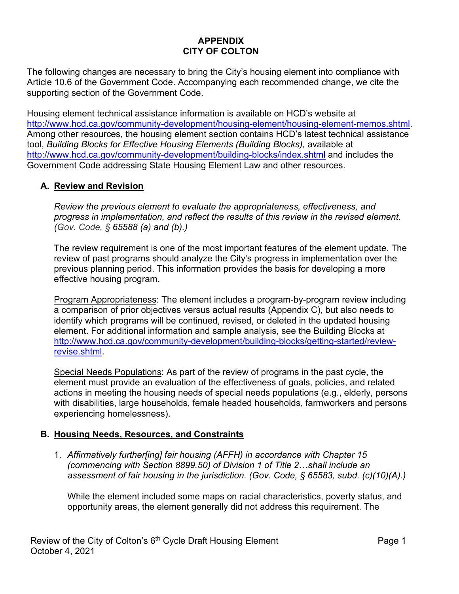# **APPENDIX CITY OF COLTON**

The following changes are necessary to bring the City's housing element into compliance with Article 10.6 of the Government Code. Accompanying each recommended change, we cite the supporting section of the Government Code.

Housing element technical assistance information is available on HCD's website at [http://www.hcd.ca.gov/community-development/housing-element/housing-element-memos.shtml.](http://www.hcd.ca.gov/community-development/housing-element/housing-element-memos.shtml) Among other resources, the housing element section contains HCD's latest technical assistance tool, *Building Blocks for Effective Housing Elements (Building Blocks),* available at <http://www.hcd.ca.gov/community-development/building-blocks/index.shtml> and includes the Government Code addressing State Housing Element Law and other resources.

### **A. Review and Revision**

*Review the previous element to evaluate the appropriateness, effectiveness, and progress in implementation, and reflect the results of this review in the revised element. (Gov. Code, § 65588 (a) and (b).)*

The review requirement is one of the most important features of the element update. The review of past programs should analyze the City's progress in implementation over the previous planning period. This information provides the basis for developing a more effective housing program.

Program Appropriateness: The element includes a program-by-program review including a comparison of prior objectives versus actual results (Appendix C), but also needs to identify which programs will be continued, revised, or deleted in the updated housing element. For additional information and sample analysis, see the Building Blocks at [http://www.hcd.ca.gov/community-development/building-blocks/getting-started/review](http://www.hcd.ca.gov/community-development/building-blocks/getting-started/review-revise.shtml)[revise.shtml.](http://www.hcd.ca.gov/community-development/building-blocks/getting-started/review-revise.shtml)

Special Needs Populations: As part of the review of programs in the past cycle, the element must provide an evaluation of the effectiveness of goals, policies, and related actions in meeting the housing needs of special needs populations (e.g., elderly, persons with disabilities, large households, female headed households, farmworkers and persons experiencing homelessness).

#### **B. Housing Needs, Resources, and Constraints**

1. *Affirmatively further[ing] fair housing (AFFH) in accordance with Chapter 15 (commencing with Section 8899.50) of Division 1 of Title 2…shall include an assessment of fair housing in the jurisdiction. (Gov. Code, § 65583, subd. (c)(10)(A).)*

While the element included some maps on racial characteristics, poverty status, and opportunity areas, the element generally did not address this requirement. The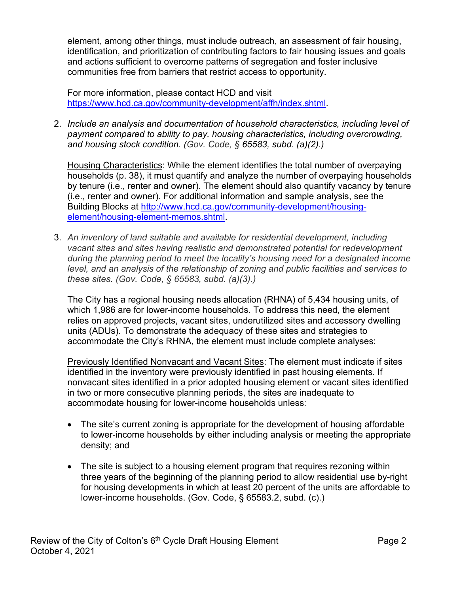element, among other things, must include outreach, an assessment of fair housing, identification, and prioritization of contributing factors to fair housing issues and goals and actions sufficient to overcome patterns of segregation and foster inclusive communities free from barriers that restrict access to opportunity.

For more information, please contact HCD and visit [https://www.hcd.ca.gov/community-development/affh/index.shtml.](https://www.hcd.ca.gov/community-development/affh/index.shtml)

2. *Include an analysis and documentation of household characteristics, including level of payment compared to ability to pay, housing characteristics, including overcrowding, and housing stock condition. (Gov. Code, § 65583, subd. (a)(2).)*

Housing Characteristics: While the element identifies the total number of overpaying households (p. 38), it must quantify and analyze the number of overpaying households by tenure (i.e., renter and owner). The element should also quantify vacancy by tenure (i.e., renter and owner). For additional information and sample analysis, see the Building Blocks at [http://www.hcd.ca.gov/community-development/housing](http://www.hcd.ca.gov/community-development/housing-element/housing-element-memos.shtml)[element/housing-element-memos.shtml.](http://www.hcd.ca.gov/community-development/housing-element/housing-element-memos.shtml)

3. *An inventory of land suitable and available for residential development, including vacant sites and sites having realistic and demonstrated potential for redevelopment during the planning period to meet the locality's housing need for a designated income level, and an analysis of the relationship of zoning and public facilities and services to these sites. (Gov. Code, § 65583, subd. (a)(3).)*

The City has a regional housing needs allocation (RHNA) of 5,434 housing units, of which 1,986 are for lower-income households. To address this need, the element relies on approved projects, vacant sites, underutilized sites and accessory dwelling units (ADUs). To demonstrate the adequacy of these sites and strategies to accommodate the City's RHNA, the element must include complete analyses:

Previously Identified Nonvacant and Vacant Sites: The element must indicate if sites identified in the inventory were previously identified in past housing elements. If nonvacant sites identified in a prior adopted housing element or vacant sites identified in two or more consecutive planning periods, the sites are inadequate to accommodate housing for lower-income households unless:

- The site's current zoning is appropriate for the development of housing affordable to lower-income households by either including analysis or meeting the appropriate density; and
- The site is subject to a housing element program that requires rezoning within three years of the beginning of the planning period to allow residential use by-right for housing developments in which at least 20 percent of the units are affordable to lower-income households. (Gov. Code, § 65583.2, subd. (c).)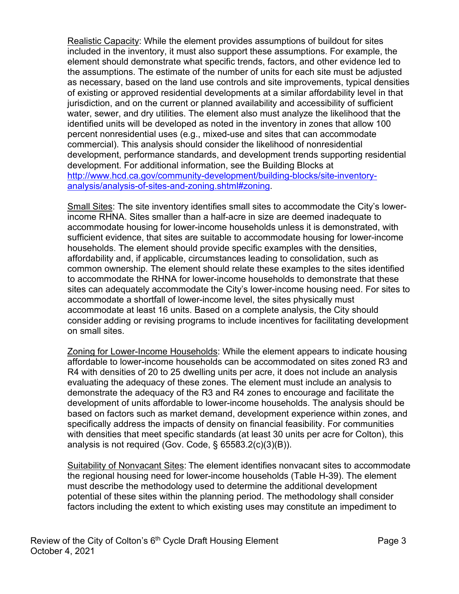Realistic Capacity: While the element provides assumptions of buildout for sites included in the inventory, it must also support these assumptions. For example, the element should demonstrate what specific trends, factors, and other evidence led to the assumptions. The estimate of the number of units for each site must be adjusted as necessary, based on the land use controls and site improvements, typical densities of existing or approved residential developments at a similar affordability level in that jurisdiction, and on the current or planned availability and accessibility of sufficient water, sewer, and dry utilities. The element also must analyze the likelihood that the identified units will be developed as noted in the inventory in zones that allow 100 percent nonresidential uses (e.g., mixed-use and sites that can accommodate commercial). This analysis should consider the likelihood of nonresidential development, performance standards, and development trends supporting residential development. For additional information, see the Building Blocks at [http://www.hcd.ca.gov/community-development/building-blocks/site-inventory](http://www.hcd.ca.gov/community-development/building-blocks/site-inventory-analysis/analysis-of-sites-and-zoning.shtml#zoning)[analysis/analysis-of-sites-and-zoning.shtml#zoning.](http://www.hcd.ca.gov/community-development/building-blocks/site-inventory-analysis/analysis-of-sites-and-zoning.shtml#zoning)

Small Sites: The site inventory identifies small sites to accommodate the City's lowerincome RHNA. Sites smaller than a half-acre in size are deemed inadequate to accommodate housing for lower-income households unless it is demonstrated, with sufficient evidence, that sites are suitable to accommodate housing for lower-income households. The element should provide specific examples with the densities, affordability and, if applicable, circumstances leading to consolidation, such as common ownership. The element should relate these examples to the sites identified to accommodate the RHNA for lower-income households to demonstrate that these sites can adequately accommodate the City's lower-income housing need. For sites to accommodate a shortfall of lower-income level, the sites physically must accommodate at least 16 units. Based on a complete analysis, the City should consider adding or revising programs to include incentives for facilitating development on small sites.

Zoning for Lower-Income Households: While the element appears to indicate housing affordable to lower-income households can be accommodated on sites zoned R3 and R4 with densities of 20 to 25 dwelling units per acre, it does not include an analysis evaluating the adequacy of these zones. The element must include an analysis to demonstrate the adequacy of the R3 and R4 zones to encourage and facilitate the development of units affordable to lower-income households. The analysis should be based on factors such as market demand, development experience within zones, and specifically address the impacts of density on financial feasibility. For communities with densities that meet specific standards (at least 30 units per acre for Colton), this analysis is not required (Gov. Code, § 65583.2(c)(3)(B)).

Suitability of Nonvacant Sites: The element identifies nonvacant sites to accommodate the regional housing need for lower-income households (Table H-39). The element must describe the methodology used to determine the additional development potential of these sites within the planning period. The methodology shall consider factors including the extent to which existing uses may constitute an impediment to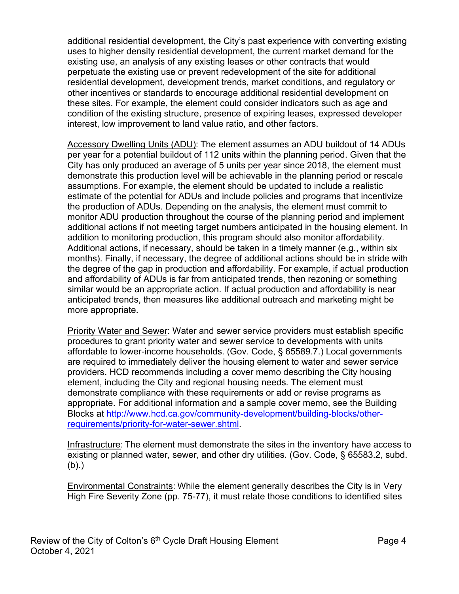additional residential development, the City's past experience with converting existing uses to higher density residential development, the current market demand for the existing use, an analysis of any existing leases or other contracts that would perpetuate the existing use or prevent redevelopment of the site for additional residential development, development trends, market conditions, and regulatory or other incentives or standards to encourage additional residential development on these sites. For example, the element could consider indicators such as age and condition of the existing structure, presence of expiring leases, expressed developer interest, low improvement to land value ratio, and other factors.

Accessory Dwelling Units (ADU): The element assumes an ADU buildout of 14 ADUs per year for a potential buildout of 112 units within the planning period. Given that the City has only produced an average of 5 units per year since 2018, the element must demonstrate this production level will be achievable in the planning period or rescale assumptions. For example, the element should be updated to include a realistic estimate of the potential for ADUs and include policies and programs that incentivize the production of ADUs. Depending on the analysis, the element must commit to monitor ADU production throughout the course of the planning period and implement additional actions if not meeting target numbers anticipated in the housing element. In addition to monitoring production, this program should also monitor affordability. Additional actions, if necessary, should be taken in a timely manner (e.g., within six months). Finally, if necessary, the degree of additional actions should be in stride with the degree of the gap in production and affordability. For example, if actual production and affordability of ADUs is far from anticipated trends, then rezoning or something similar would be an appropriate action. If actual production and affordability is near anticipated trends, then measures like additional outreach and marketing might be more appropriate.

Priority Water and Sewer: Water and sewer service providers must establish specific procedures to grant priority water and sewer service to developments with units affordable to lower-income households. (Gov. Code, § 65589.7.) Local governments are required to immediately deliver the housing element to water and sewer service providers. HCD recommends including a cover memo describing the City housing element, including the City and regional housing needs. The element must demonstrate compliance with these requirements or add or revise programs as appropriate. For additional information and a sample cover memo, see the Building Blocks at [http://www.hcd.ca.gov/community-development/building-blocks/other](http://www.hcd.ca.gov/community-development/building-blocks/other-requirements/priority-for-water-sewer.shtml)[requirements/priority-for-water-sewer.shtml.](http://www.hcd.ca.gov/community-development/building-blocks/other-requirements/priority-for-water-sewer.shtml)

Infrastructure: The element must demonstrate the sites in the inventory have access to existing or planned water, sewer, and other dry utilities. (Gov. Code, § 65583.2, subd. (b).)

Environmental Constraints: While the element generally describes the City is in Very High Fire Severity Zone (pp. 75-77), it must relate those conditions to identified sites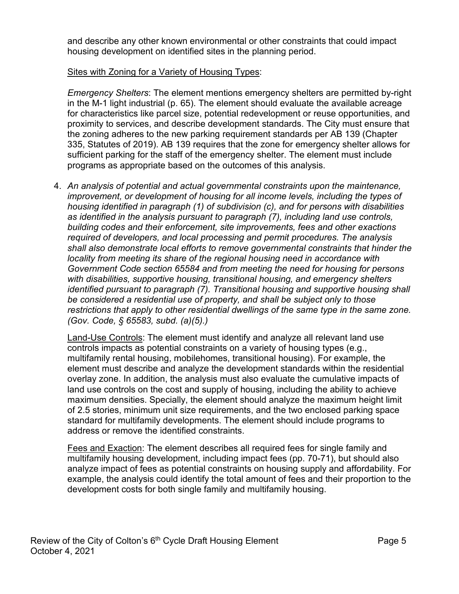and describe any other known environmental or other constraints that could impact housing development on identified sites in the planning period.

### Sites with Zoning for a Variety of Housing Types:

*Emergency Shelters*: The element mentions emergency shelters are permitted by-right in the M-1 light industrial (p. 65). The element should evaluate the available acreage for characteristics like parcel size, potential redevelopment or reuse opportunities, and proximity to services, and describe development standards. The City must ensure that the zoning adheres to the new parking requirement standards per AB 139 (Chapter 335, Statutes of 2019). AB 139 requires that the zone for emergency shelter allows for sufficient parking for the staff of the emergency shelter. The element must include programs as appropriate based on the outcomes of this analysis.

4. *An analysis of potential and actual governmental constraints upon the maintenance, improvement, or development of housing for all income levels, including the types of housing identified in paragraph (1) of subdivision (c), and for persons with disabilities as identified in the analysis pursuant to paragraph (7), including land use controls, building codes and their enforcement, site improvements, fees and other exactions required of developers, and local processing and permit procedures. The analysis shall also demonstrate local efforts to remove governmental constraints that hinder the locality from meeting its share of the regional housing need in accordance with Government Code section 65584 and from meeting the need for housing for persons with disabilities, supportive housing, transitional housing, and emergency shelters identified pursuant to paragraph (7). Transitional housing and supportive housing shall be considered a residential use of property, and shall be subject only to those restrictions that apply to other residential dwellings of the same type in the same zone. (Gov. Code, § 65583, subd. (a)(5).)*

Land-Use Controls: The element must identify and analyze all relevant land use controls impacts as potential constraints on a variety of housing types (e.g., multifamily rental housing, mobilehomes, transitional housing). For example, the element must describe and analyze the development standards within the residential overlay zone. In addition, the analysis must also evaluate the cumulative impacts of land use controls on the cost and supply of housing, including the ability to achieve maximum densities. Specially, the element should analyze the maximum height limit of 2.5 stories, minimum unit size requirements, and the two enclosed parking space standard for multifamily developments. The element should include programs to address or remove the identified constraints.

Fees and Exaction: The element describes all required fees for single family and multifamily housing development, including impact fees (pp. 70-71), but should also analyze impact of fees as potential constraints on housing supply and affordability. For example, the analysis could identify the total amount of fees and their proportion to the development costs for both single family and multifamily housing.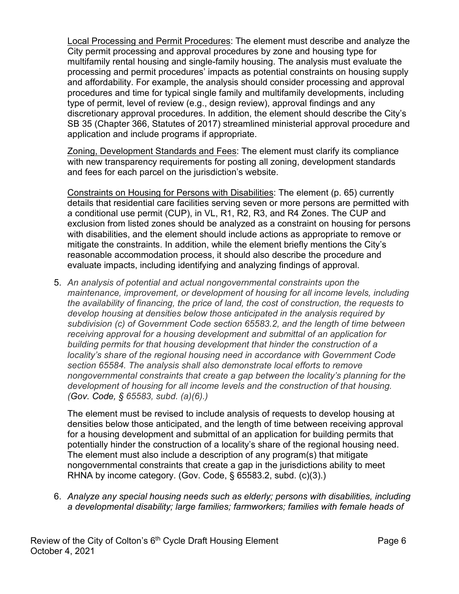Local Processing and Permit Procedures: The element must describe and analyze the City permit processing and approval procedures by zone and housing type for multifamily rental housing and single-family housing. The analysis must evaluate the processing and permit procedures' impacts as potential constraints on housing supply and affordability. For example, the analysis should consider processing and approval procedures and time for typical single family and multifamily developments, including type of permit, level of review (e.g., design review), approval findings and any discretionary approval procedures. In addition, the element should describe the City's SB 35 (Chapter 366, Statutes of 2017) streamlined ministerial approval procedure and application and include programs if appropriate.

Zoning, Development Standards and Fees: The element must clarify its compliance with new transparency requirements for posting all zoning, development standards and fees for each parcel on the jurisdiction's website.

Constraints on Housing for Persons with Disabilities: The element (p. 65) currently details that residential care facilities serving seven or more persons are permitted with a conditional use permit (CUP), in VL, R1, R2, R3, and R4 Zones. The CUP and exclusion from listed zones should be analyzed as a constraint on housing for persons with disabilities, and the element should include actions as appropriate to remove or mitigate the constraints. In addition, while the element briefly mentions the City's reasonable accommodation process, it should also describe the procedure and evaluate impacts, including identifying and analyzing findings of approval.

5. *An analysis of potential and actual nongovernmental constraints upon the maintenance, improvement, or development of housing for all income levels, including the availability of financing, the price of land, the cost of construction, the requests to develop housing at densities below those anticipated in the analysis required by subdivision (c) of Government Code section 65583.2, and the length of time between receiving approval for a housing development and submittal of an application for building permits for that housing development that hinder the construction of a locality's share of the regional housing need in accordance with Government Code section 65584. The analysis shall also demonstrate local efforts to remove nongovernmental constraints that create a gap between the locality's planning for the development of housing for all income levels and the construction of that housing. (Gov. Code, § 65583, subd. (a)(6).)*

The element must be revised to include analysis of requests to develop housing at densities below those anticipated, and the length of time between receiving approval for a housing development and submittal of an application for building permits that potentially hinder the construction of a locality's share of the regional housing need. The element must also include a description of any program(s) that mitigate nongovernmental constraints that create a gap in the jurisdictions ability to meet RHNA by income category. (Gov. Code, § 65583.2, subd. (c)(3).)

6. *Analyze any special housing needs such as elderly; persons with disabilities, including a developmental disability; large families; farmworkers; families with female heads of*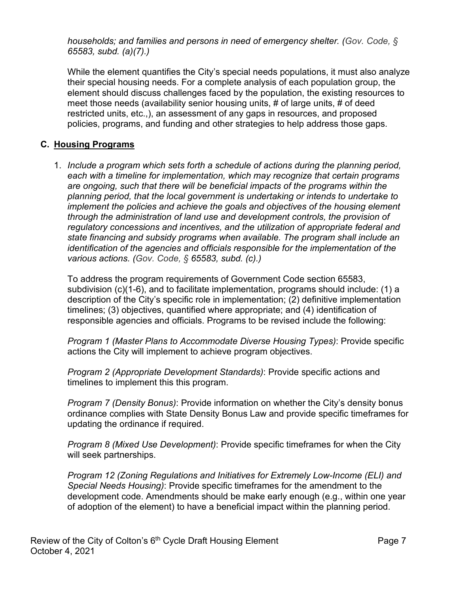*households; and families and persons in need of emergency shelter. (Gov. Code, § 65583, subd. (a)(7).)*

While the element quantifies the City's special needs populations, it must also analyze their special housing needs. For a complete analysis of each population group, the element should discuss challenges faced by the population, the existing resources to meet those needs (availability senior housing units, # of large units, # of deed restricted units, etc.,), an assessment of any gaps in resources, and proposed policies, programs, and funding and other strategies to help address those gaps.

## **C. Housing Programs**

1. *Include a program which sets forth a schedule of actions during the planning period, each with a timeline for implementation, which may recognize that certain programs are ongoing, such that there will be beneficial impacts of the programs within the planning period, that the local government is undertaking or intends to undertake to implement the policies and achieve the goals and objectives of the housing element through the administration of land use and development controls, the provision of regulatory concessions and incentives, and the utilization of appropriate federal and state financing and subsidy programs when available. The program shall include an identification of the agencies and officials responsible for the implementation of the various actions. (Gov. Code, § 65583, subd. (c).)*

To address the program requirements of Government Code section 65583, subdivision (c)(1-6), and to facilitate implementation, programs should include: (1) a description of the City's specific role in implementation; (2) definitive implementation timelines; (3) objectives, quantified where appropriate; and (4) identification of responsible agencies and officials. Programs to be revised include the following:

*Program 1 (Master Plans to Accommodate Diverse Housing Types)*: Provide specific actions the City will implement to achieve program objectives.

*Program 2 (Appropriate Development Standards)*: Provide specific actions and timelines to implement this this program.

*Program 7 (Density Bonus)*: Provide information on whether the City's density bonus ordinance complies with State Density Bonus Law and provide specific timeframes for updating the ordinance if required.

*Program 8 (Mixed Use Development)*: Provide specific timeframes for when the City will seek partnerships.

*Program 12 (Zoning Regulations and Initiatives for Extremely Low-Income (ELI) and Special Needs Housing)*: Provide specific timeframes for the amendment to the development code. Amendments should be make early enough (e.g., within one year of adoption of the element) to have a beneficial impact within the planning period.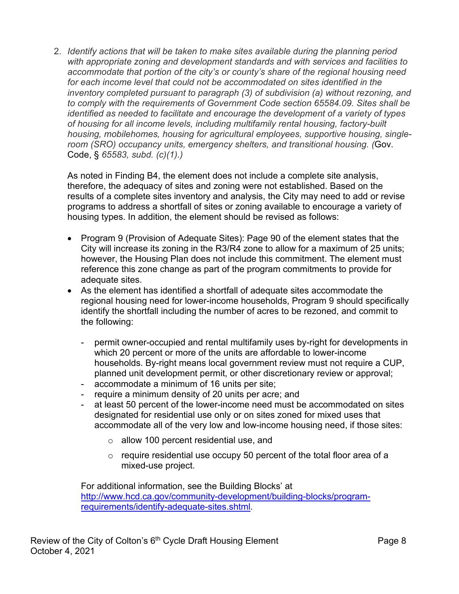2. *Identify actions that will be taken to make sites available during the planning period with appropriate zoning and development standards and with services and facilities to accommodate that portion of the city's or county's share of the regional housing need for each income level that could not be accommodated on sites identified in the inventory completed pursuant to paragraph (3) of subdivision (a) without rezoning, and to comply with the requirements of Government Code section 65584.09. Sites shall be identified as needed to facilitate and encourage the development of a variety of types of housing for all income levels, including multifamily rental housing, factory-built housing, mobilehomes, housing for agricultural employees, supportive housing, singleroom (SRO) occupancy units, emergency shelters, and transitional housing. (*Gov. Code, § *65583, subd. (c)(1).)*

As noted in Finding B4, the element does not include a complete site analysis, therefore, the adequacy of sites and zoning were not established. Based on the results of a complete sites inventory and analysis, the City may need to add or revise programs to address a shortfall of sites or zoning available to encourage a variety of housing types. In addition, the element should be revised as follows:

- Program 9 (Provision of Adequate Sites): Page 90 of the element states that the City will increase its zoning in the R3/R4 zone to allow for a maximum of 25 units; however, the Housing Plan does not include this commitment. The element must reference this zone change as part of the program commitments to provide for adequate sites.
- As the element has identified a shortfall of adequate sites accommodate the regional housing need for lower-income households, Program 9 should specifically identify the shortfall including the number of acres to be rezoned, and commit to the following:
	- permit owner-occupied and rental multifamily uses by-right for developments in which 20 percent or more of the units are affordable to lower-income households. By-right means local government review must not require a CUP, planned unit development permit, or other discretionary review or approval;
	- accommodate a minimum of 16 units per site;
	- require a minimum density of 20 units per acre; and
	- at least 50 percent of the lower-income need must be accommodated on sites designated for residential use only or on sites zoned for mixed uses that accommodate all of the very low and low-income housing need, if those sites:
		- o allow 100 percent residential use, and
		- $\circ$  require residential use occupy 50 percent of the total floor area of a mixed-use project.

For additional information, see the Building Blocks' at [http://www.hcd.ca.gov/community-development/building-blocks/program](http://www.hcd.ca.gov/community-development/building-blocks/program-requirements/identify-adequate-sites.shtml)[requirements/identify-adequate-sites.shtml.](http://www.hcd.ca.gov/community-development/building-blocks/program-requirements/identify-adequate-sites.shtml)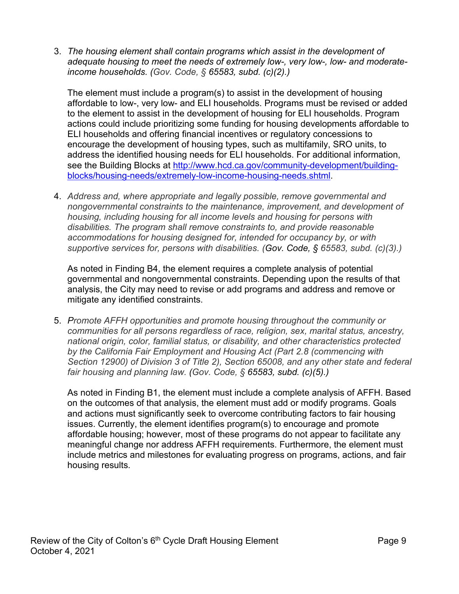3. *The housing element shall contain programs which assist in the development of adequate housing to meet the needs of extremely low-, very low-, low- and moderateincome households. (Gov. Code, § 65583, subd. (c)(2).)*

The element must include a program(s) to assist in the development of housing affordable to low-, very low- and ELI households. Programs must be revised or added to the element to assist in the development of housing for ELI households. Program actions could include prioritizing some funding for housing developments affordable to ELI households and offering financial incentives or regulatory concessions to encourage the development of housing types, such as multifamily, SRO units, to address the identified housing needs for ELI households. For additional information, see the Building Blocks at [http://www.hcd.ca.gov/community-development/building](http://www.hcd.ca.gov/community-development/building-blocks/housing-needs/extremely-low-income-housing-needs.shtml)[blocks/housing-needs/extremely-low-income-housing-needs.shtml.](http://www.hcd.ca.gov/community-development/building-blocks/housing-needs/extremely-low-income-housing-needs.shtml)

4. *Address and, where appropriate and legally possible, remove governmental and nongovernmental constraints to the maintenance, improvement, and development of housing, including housing for all income levels and housing for persons with disabilities. The program shall remove constraints to, and provide reasonable accommodations for housing designed for, intended for occupancy by, or with supportive services for, persons with disabilities. (Gov. Code, § 65583, subd. (c)(3).)*

As noted in Finding B4, the element requires a complete analysis of potential governmental and nongovernmental constraints. Depending upon the results of that analysis, the City may need to revise or add programs and address and remove or mitigate any identified constraints.

5. *Promote AFFH opportunities and promote housing throughout the community or communities for all persons regardless of race, religion, sex, marital status, ancestry, national origin, color, familial status, or disability, and other characteristics protected by the California Fair Employment and Housing Act (Part 2.8 (commencing with Section 12900) of Division 3 of Title 2), Section 65008, and any other state and federal fair housing and planning law. (Gov. Code, § 65583, subd. (c)(5).)*

As noted in Finding B1, the element must include a complete analysis of AFFH. Based on the outcomes of that analysis, the element must add or modify programs. Goals and actions must significantly seek to overcome contributing factors to fair housing issues. Currently, the element identifies program(s) to encourage and promote affordable housing; however, most of these programs do not appear to facilitate any meaningful change nor address AFFH requirements. Furthermore, the element must include metrics and milestones for evaluating progress on programs, actions, and fair housing results.